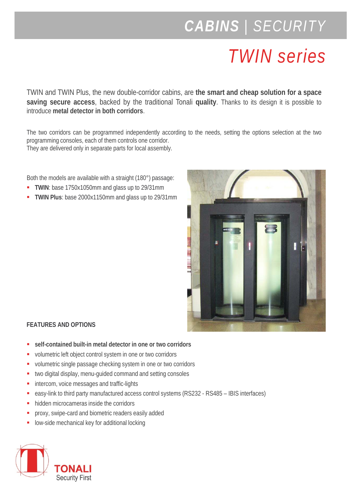## *CABINS | SECURITY*

## *TWIN series*

TWIN and TWIN Plus, the new double-corridor cabins, are **the smart and cheap solution for a space saving secure access**, backed by the traditional Tonali **quality**. Thanks to its design it is possible to introduce **metal detector in both corridors**.

The two corridors can be programmed independently according to the needs, setting the options selection at the two programming consoles, each of them controls one corridor. They are delivered only in separate parts for local assembly.

Both the models are available with a straight (180°) passage:

- **TWIN**: base 1750x1050mm and glass up to 29/31mm
- **TWIN Plus**: base 2000x1150mm and glass up to 29/31mm



## **FEATURES AND OPTIONS**

- **self-contained built-in metal detector in one or two corridors**
- volumetric left object control system in one or two corridors
- volumetric single passage checking system in one or two corridors
- **times** two digital display, menu-guided command and setting consoles
- **intercom, voice messages and traffic-lights**
- easy-link to third party manufactured access control systems (RS232 RS485 IBIS interfaces)
- hidden microcameras inside the corridors
- proxy, swipe-card and biometric readers easily added
- low-side mechanical key for additional locking